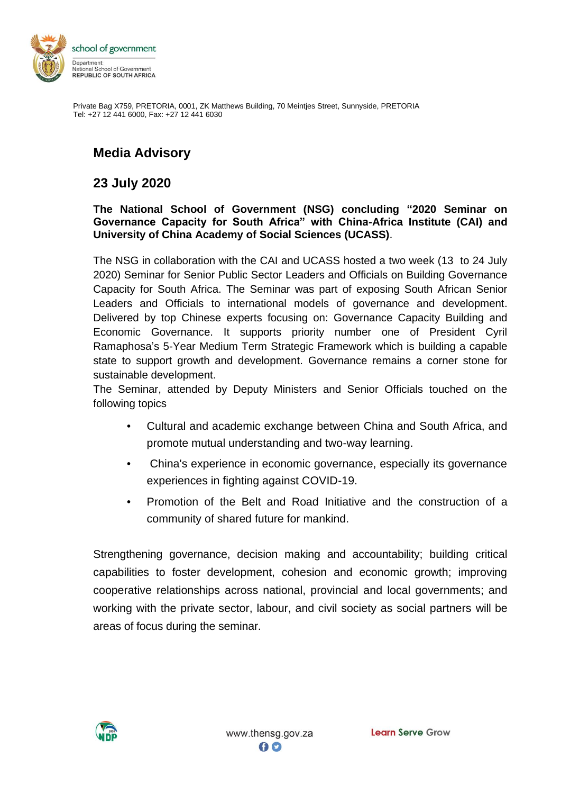

Private Bag X759, PRETORIA, 0001, ZK Matthews Building, 70 Meintjes Street, Sunnyside, PRETORIA Tel: +27 12 441 6000, Fax: +27 12 441 6030

## **Media Advisory**

## **23 July 2020**

## **The National School of Government (NSG) concluding "2020 Seminar on Governance Capacity for South Africa" with China-Africa Institute (CAI) and University of China Academy of Social Sciences (UCASS)**.

The NSG in collaboration with the CAI and UCASS hosted a two week (13 to 24 July 2020) Seminar for Senior Public Sector Leaders and Officials on Building Governance Capacity for South Africa. The Seminar was part of exposing South African Senior Leaders and Officials to international models of governance and development. Delivered by top Chinese experts focusing on: Governance Capacity Building and Economic Governance. It supports priority number one of President Cyril Ramaphosa's 5-Year Medium Term Strategic Framework which is building a capable state to support growth and development. Governance remains a corner stone for sustainable development.

The Seminar, attended by Deputy Ministers and Senior Officials touched on the following topics

- Cultural and academic exchange between China and South Africa, and promote mutual understanding and two-way learning.
- China's experience in economic governance, especially its governance experiences in fighting against COVID-19.
- Promotion of the Belt and Road Initiative and the construction of a community of shared future for mankind.

Strengthening governance, decision making and accountability; building critical capabilities to foster development, cohesion and economic growth; improving cooperative relationships across national, provincial and local governments; and working with the private sector, labour, and civil society as social partners will be areas of focus during the seminar.

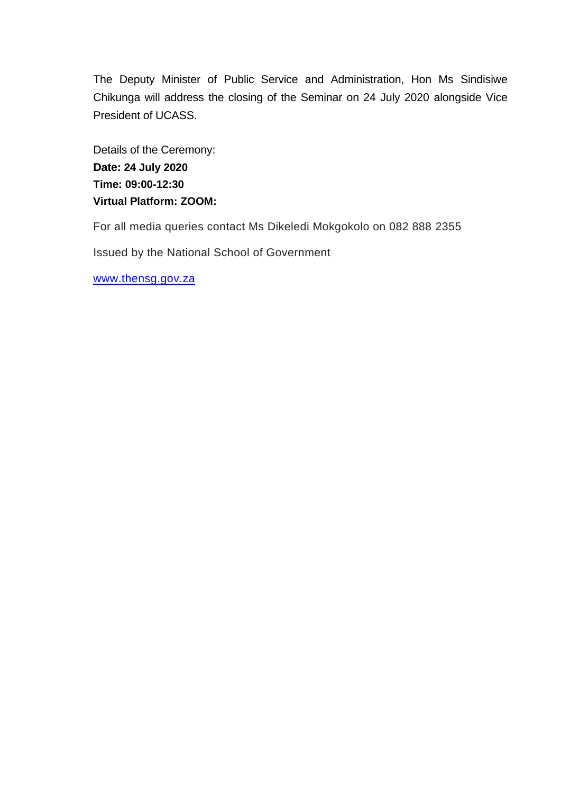The Deputy Minister of Public Service and Administration, Hon Ms Sindisiwe Chikunga will address the closing of the Seminar on 24 July 2020 alongside Vice President of UCASS.

Details of the Ceremony: **Date: 24 July 2020 Time: 09:00-12:30 Virtual Platform: ZOOM:**

For all media queries contact Ms Dikeledi Mokgokolo on 082 888 2355

Issued by the National School of Government

[www.thensg.gov.za](http://www.thensg.gov.za/)